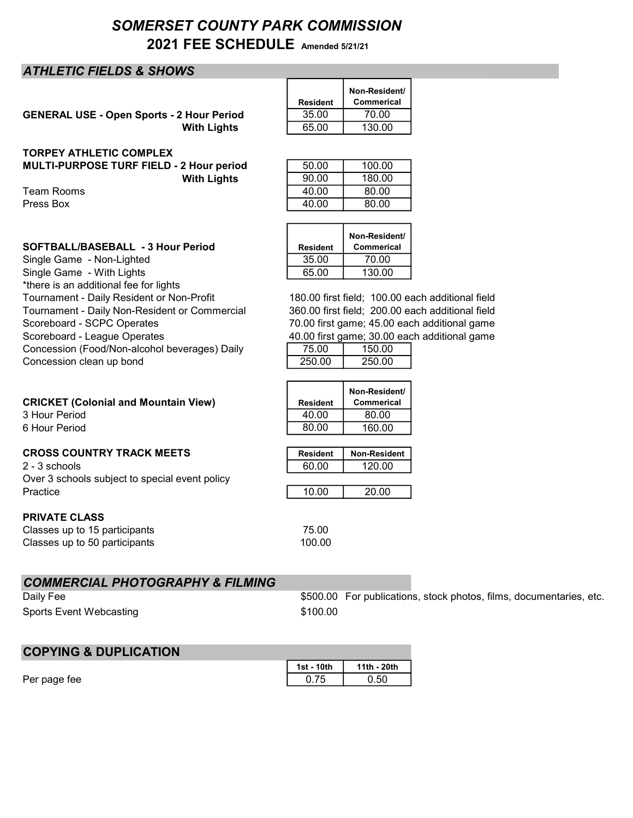# SOMERSET COUNTY PARK COMMISSION 2021 FEE SCHEDULE Amended 5/21/21

## ATHLETIC FIELDS & SHOWS

GENERAL USE - Open Sports - 2 Hour Period **With Lights** 

| Resident | Non-Resident/<br>Commerical |
|----------|-----------------------------|
| 35.00    | 70.00                       |
| 65.00    | 130.00                      |

## TORPEY ATHLETIC COMPLEX

MULTI-PURPOSE TURF FIELD - 2 Hour period **With Lights** 

Team Rooms Press Box

| SOFTBALL/BASEBALL - 3 Hour Period | <b>Resident</b> |
|-----------------------------------|-----------------|
|                                   |                 |

Single Game - Non-Lighted Single Game - With Lights \*there is an additional fee for lights Tournament - Daily Resident or Non-Profit Tournament - Daily Non-Resident or Commercial Scoreboard - SCPC Operates Scoreboard - League Operates Concession (Food/Non-alcohol beverages) Daily Concession clean up bond

# **CRICKET (Colonial and Mountain View)**

3 Hour Period 6 Hour Period

## **CROSS COUNTRY TRACK MEETS**

 $2 - 3$  schools Over 3 schools subject to special event policy Practice 10.00 20.00

## PRIVATE CLASS

Classes up to 15 participants 75.00 Classes up to 50 participants 100.00

## COMMERCIAL PHOTOGRAPHY & FILMING

Daily Fee Sports Event Webcasting \$100.00

\$500.00 For publications, stock photos, films, documentaries, etc.

| <b>COPYING &amp; DUPLICATION</b> |            |             |
|----------------------------------|------------|-------------|
|                                  | 1st - 10th | 11th - 20th |
| Per page fee                     | 0 75       | 0.50        |

| 50.00 | 100.00 |
|-------|--------|
| 90.00 | 180.00 |
| 40.00 | 80.00  |
| 40.00 | 80.00  |
|       |        |

| <b>Resident</b> | Non-Resident/<br>Commerical |
|-----------------|-----------------------------|
| 35.00           | 70.00                       |
| 65.00           | 130.00                      |

180.00 first field; 100.00 each additional field 70.00 first game; 45.00 each additional game 40.00 first game; 30.00 each additional game 360.00 first field; 200.00 each additional field

| 75.00  | 150.00 |
|--------|--------|
| 250.00 | 250.00 |

| Resident        | Non-Resident/<br>Commerical |
|-----------------|-----------------------------|
| 40.00           | 80.00                       |
| 80.00           | 160.00                      |
|                 |                             |
| <b>Resident</b> | <b>Non-Resident</b>         |
| 60.00           | 120.00                      |
|                 |                             |
|                 |                             |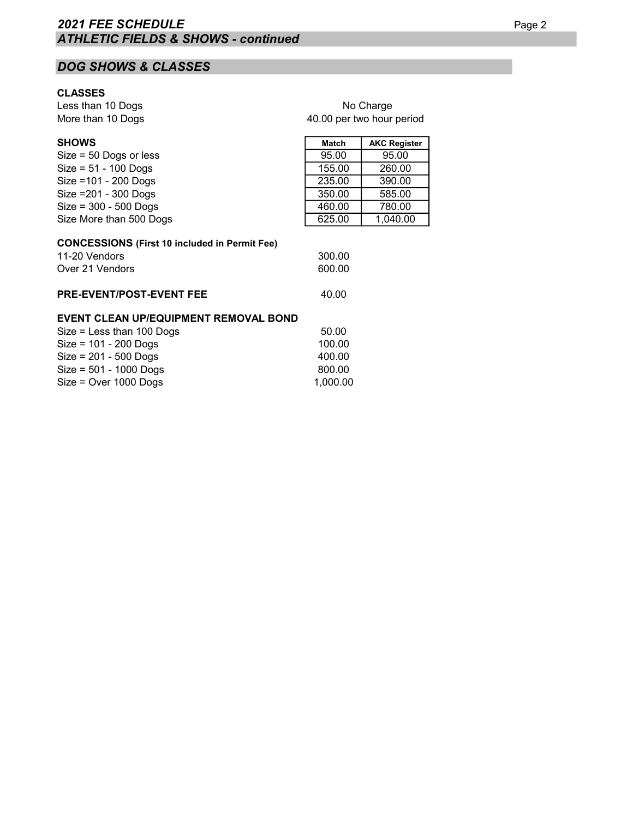# DOG SHOWS & CLASSES

## CLASSES

Less than 10 Dogs More than 10 Dogs

| No Charge                 |  |
|---------------------------|--|
| 40.00 per two hour period |  |

| <b>SHOWS</b>                                                                                         | <b>Match</b>     | <b>AKC Register</b> |
|------------------------------------------------------------------------------------------------------|------------------|---------------------|
| $Size = 50$ Dogs or less                                                                             | 95.00            | 95.00               |
| $Size = 51 - 100$ Dogs                                                                               | 155.00           | 260.00              |
| Size = 101 - 200 Dogs                                                                                | 235.00           | 390.00              |
| Size = 201 - 300 Dogs                                                                                | 350.00           | 585.00              |
| $Size = 300 - 500$ Dogs                                                                              | 460.00           | 780.00              |
| Size More than 500 Dogs                                                                              | 625.00           | 1,040.00            |
| <b>CONCESSIONS (First 10 included in Permit Fee)</b><br>11-20 Vendors<br>Over 21 Vendors             | 300.00<br>600.00 |                     |
| <b>PRE-EVENT/POST-EVENT FEE</b>                                                                      | 40.00            |                     |
| <b>EVENT CLEAN UP/EQUIPMENT REMOVAL BOND</b><br>$Q_{\text{max}} = 1$ and the set of $Q_{\text{max}}$ | ra aa            |                     |

## $Size = Less than 100 Dogs$  50.00 Size = 101 - 200 Dogs 100.00<br>Size = 201 - 500 Dogs 100.00 Size = 201 - 500 Dogs 400.00<br>Size = 501 - 1000 Dogs 800.00  $Size = 501 - 1000$  Dogs 800.00  $Size = Over 1000 Dogs$   $1,000.00$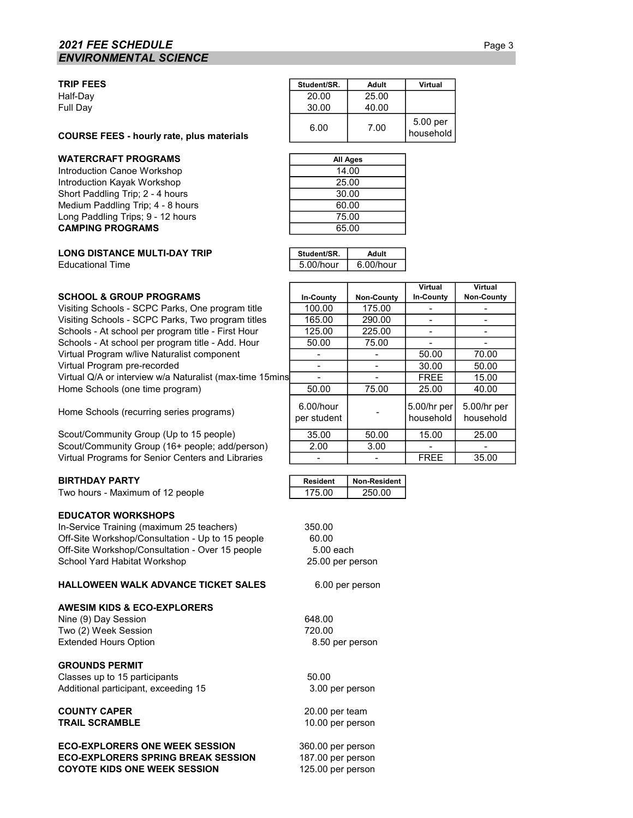## **2021 FEE SCHEDULE** Page 3 ENVIRONMENTAL SCIENCE

#### TRIP FEES Student/SR. Adult Virtual

### WATERCRAFT PROGRAMS

Introduction Canoe Workshop Introduction Kayak Workshop Short Paddling Trip; 2 - 4 hours Medium Paddling Trip; 4 - 8 hours Long Paddling Trips; 9 - 12 hours CAMPING PROGRAMS

#### **LONG DISTANCE MULTI-DAY TRIP Educational Time**

| WATERCRAFT PROGRAMS                       |                | All Ange       |                       |
|-------------------------------------------|----------------|----------------|-----------------------|
| COURSE FEES - hourly rate, plus materials | 6.00           | 7.00           | 5.00 per<br>household |
| Half-Dav<br>Full Day                      | 20.00<br>30.00 | 25.00<br>40.00 |                       |
|                                           |                |                |                       |

| All Ages |  |
|----------|--|
| 14.00    |  |
| 25.00    |  |
| 30.00    |  |
| 60.00    |  |
| 75.00    |  |
| 65.00    |  |

| Student/SR.  | Adult        |
|--------------|--------------|
| $5.00/h$ our | $6.00/h$ our |

In-County | Non-County

**Virtual** In-County

5.00/hr per household

Virtual Non-County

5.00/hr per household

|  | SCHOOL & GROUP PROGRAMS |
|--|-------------------------|
|  |                         |

Visiting Schools - SCPC Parks, One program title  $\begin{array}{|l|l|}\n\hline\n100.00 & 175.00 \\
\hline\n\end{array}$  - Visiting Schools - SCPC Parks, Two program titles  $\begin{array}{|l|l|}\n\hline\n165.00 & 290.00 \\
\hline\n\end{array}$ Visiting Schools - SCPC Parks, Two program titles  $\begin{array}{|l|c|c|c|c|c|c|c|c|}\n\hline\n\text{Schools - At school per program title - First Hour} & \text{125.00} & \text{225.00} & - & - & - & -\n\hline\n\end{array}$ Schools - At school per program title - First Hour 125.00 225.00 - - Schools - At school per program title - Add. Hour 50.00 75.00 - - Virtual Program w/live Naturalist component  $\vert$  -  $\vert$  -  $\vert$  -  $\vert$  50.00  $\vert$  70.00 Virtual Program pre-recorded and the state of the state of the state of the state of the state of the state of the state of the state of the state of the state of the state of the state of the state of the state of the sta Virtual Q/A or interview w/a Naturalist (max-time 15mins<br>
Home Schools (one time program)  $\begin{array}{|l|l|l|}\n\hline\n50.00 & 75.00 & 25.00 & 40.00\n\end{array}$ Home Schools (one time program)  $\begin{array}{|c|c|c|c|c|c|c|c|c|} \hline 50.00 & 75.00 & 25.00 & 40.00 \\ \hline \end{array}$ 

Home Schools (recurring series programs) 6.00/hour

Scout/Community Group (Up to 15 people) 35.00 50.00 15.00 25.00 Scout/Community Group (16+ people; add/person) 2.00  $\vert$  3.00 Virtual Programs for Senior Centers and Libraries | The Collection Center | S5.00

Two hours - Maximum of 12 people 175.00 250.00

### EDUCATOR WORKSHOPS

In-Service Training (maximum 25 teachers) 350.00 Off-Site Workshop/Consultation - Up to 15 people 60.00 Off-Site Workshop/Consultation - Over 15 people 5.00 each School Yard Habitat Workshop

#### HALLOWEEN WALK ADVANCE TICKET SALES

#### AWESIM KIDS & ECO-EXPLORERS

Nine (9) Day Session 648.00 Two (2) Week Session 720.00 Extended Hours Option

GROUNDS PERMIT

Classes up to 15 participants 60.00 Additional participant, exceeding 15

#### COUNTY CAPER TRAIL SCRAMBLE

ECO-EXPLORERS ONE WEEK SESSION ECO-EXPLORERS SPRING BREAK SESSION COYOTE KIDS ONE WEEK SESSION

BIRTHDAY PARTY **Resident I Resident I Non-Resident** 

25.00 per person

per student

6.00 per person

8.50 per person

3.00 per person

 10.00 per person 20.00 per team

 187.00 per person 125.00 per person 360.00 per person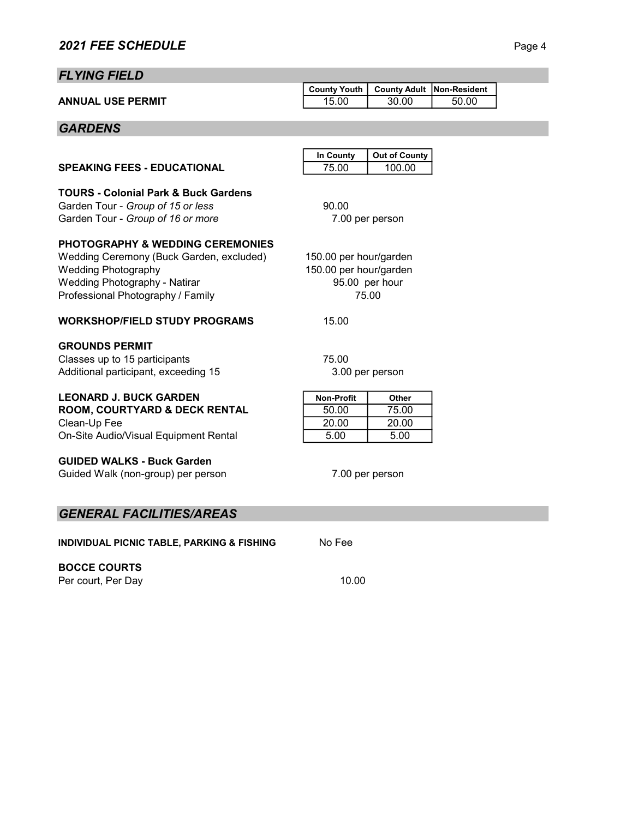# FLYING FIELD

|                          | County Youth   County Adult   Non-Resident |       |       |  |
|--------------------------|--------------------------------------------|-------|-------|--|
| <b>ANNUAL USE PERMIT</b> | 15.00                                      | 30.00 | 50.00 |  |

# **GARDENS**

|                                                                                                                                                                                                    | In County                                                                   | <b>Out of County</b>            |  |
|----------------------------------------------------------------------------------------------------------------------------------------------------------------------------------------------------|-----------------------------------------------------------------------------|---------------------------------|--|
| <b>SPEAKING FEES - EDUCATIONAL</b>                                                                                                                                                                 | 75.00                                                                       | 100.00                          |  |
| <b>TOURS - Colonial Park &amp; Buck Gardens</b><br>Garden Tour - Group of 15 or less<br>Garden Tour - Group of 16 or more                                                                          | 90.00                                                                       | 7.00 per person                 |  |
| <b>PHOTOGRAPHY &amp; WEDDING CEREMONIES</b><br>Wedding Ceremony (Buck Garden, excluded)<br><b>Wedding Photography</b><br><b>Wedding Photography - Natirar</b><br>Professional Photography / Family | 150.00 per hour/garden<br>150.00 per hour/garden<br>95.00 per hour<br>75.00 |                                 |  |
| <b>WORKSHOP/FIELD STUDY PROGRAMS</b>                                                                                                                                                               | 15.00                                                                       |                                 |  |
| <b>GROUNDS PERMIT</b><br>Classes up to 15 participants<br>Additional participant, exceeding 15                                                                                                     | 75.00                                                                       | 3.00 per person                 |  |
| <b>LEONARD J. BUCK GARDEN</b><br><b>ROOM, COURTYARD &amp; DECK RENTAL</b><br>Clean-Up Fee<br>On-Site Audio/Visual Equipment Rental                                                                 | <b>Non-Profit</b><br>50.00<br>20.00<br>5.00                                 | Other<br>75.00<br>20.00<br>5.00 |  |
| <b>GUIDED WALKS - Buck Garden</b><br>Guided Walk (non-group) per person                                                                                                                            | 7.00 per person                                                             |                                 |  |
| <b>GENERAL FACILITIES/AREAS</b>                                                                                                                                                                    |                                                                             |                                 |  |
|                                                                                                                                                                                                    |                                                                             |                                 |  |

INDIVIDUAL PICNIC TABLE, PARKING & FISHING No Fee

# BOCCE COURTS

Per court, Per Day 10.00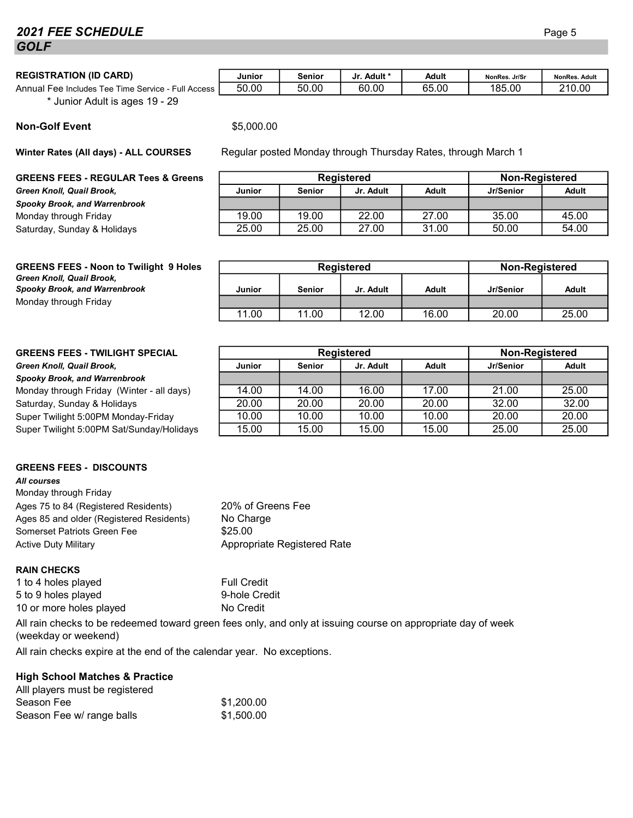# **2021 FEE SCHEDULE** Page 5 **GOLF**

| REGISTRATION (ID CARD) |  |
|------------------------|--|
|------------------------|--|

Annual Fee Includes Tee Time Service - Full Access **50.00 | 50.00 | 60.00 | 65.00 | 185.00 | 210.00** \* Junior Adult is ages 19 - 29

| \$5,000.00 |
|------------|
|            |

Winter Rates (All days) - ALL COURSES

#### GREENS FEES - REGULAR Tees & Greens

Green Knoll, Quail Brook, Spooky Brook, and Warrenbrook Monday through Friday Saturday, Sunday & Holidays.

| Registered |               |           |       | Non-Registered |       |
|------------|---------------|-----------|-------|----------------|-------|
| Junior     | <b>Senior</b> | Jr. Adult | Adult | Jr/Senior      | Adult |
|            |               |           |       |                |       |
| 19.00      | 19.00         | 22.00     | 27.00 | 35.00          | 45.00 |
| 25.00      | 25.00         | 27.00     | 31.00 | 50.00          | 54.00 |

| <b>GREENS FEES - Noon to Twilight 9 Holes</b> |  |
|-----------------------------------------------|--|
| Green Knoll, Quail Brook,                     |  |
| <b>Spooky Brook, and Warrenbrook</b>          |  |
| Monday through Friday                         |  |

| <b>GREENS FEES - TWILIGHT SPECIAL</b> |  |  |
|---------------------------------------|--|--|
|---------------------------------------|--|--|

Green Knoll, Quail Brook.

Spooky Brook, and Warrenbrook

Monday through Friday (Winter - all days) Saturday, Sunday & Holidays. Super Twilight 5:00PM Monday-Friday Super Twilight 5:00 PM Sat/Sunday/Holidays

## GREENS FEES - DISCOUNTS

All courses Monday through Friday Ages 75 to 84 (Registered Residents) Ages 85 and older (Registered Residents) Somerset Patriots Green Fee  $$25.00$ Active Duty Military **Appropriate Registered Rate** 

### RAIN CHECKS

1 to 4 holes played Full Credit 5 to 9 holes played 9-hole Credit 10 or more holes played No Credit

No Charge

All rain checks to be redeemed toward green fees only, and only at issuing course on appropriate day of week (weekday or weekend)

20% of Greens Fee

All rain checks expire at the end of the calendar year. No exceptions.

### High School Matches & Practice

| Alll players must be registered |            |
|---------------------------------|------------|
| Season Fee                      | \$1,200.00 |
| Season Fee w/ range balls       | \$1,500.00 |

| <b>Spooky Brook, and Warrenbrook</b> | Junior | <b>Senior</b> | Jr. Adult  | Adult | Jr/Senior      | <b>Adult</b> |
|--------------------------------------|--------|---------------|------------|-------|----------------|--------------|
| Monday through Friday                |        |               |            |       |                |              |
|                                      | 1.00   | 11.00         | 12.00      | 16.00 | 20.00          | 25.00        |
|                                      |        |               |            |       |                |              |
|                                      |        |               |            |       |                |              |
| GREENS FEES - TWII IGHT SPECIAL      |        |               | Registered |       | Non-Registered |              |

Registered **Non-Registered** 

|               | <b>Registered</b> | Non-Registered |              |           |              |
|---------------|-------------------|----------------|--------------|-----------|--------------|
| <b>Junior</b> | <b>Senior</b>     |                | <b>Adult</b> | Jr/Senior | <b>Adult</b> |
|               |                   |                |              |           |              |
| 14.00         | 14.00             | 16.00          | 17.00        | 21.00     | 25.00        |
| 20.00         | 20.00             | 20.00          | 20.00        | 32.00     | 32.00        |
| 10.00         | 10.00             | 10.00          | 10.00        | 20.00     | 20.00        |
| 15.00         | 15.00             | 15.00          | 15.00        | 25.00     | 25.00        |

| \$5,000.00 |  |                                                               |  |  |
|------------|--|---------------------------------------------------------------|--|--|
|            |  | Regular posted Monday through Thursday Rates, through March 1 |  |  |

REGISTRATION (ID CARD) Junior Senior Jr. Adult \* Adult <sub>NonRes. Jr/Sr</sub> <sub>NonRes</sub>. Adult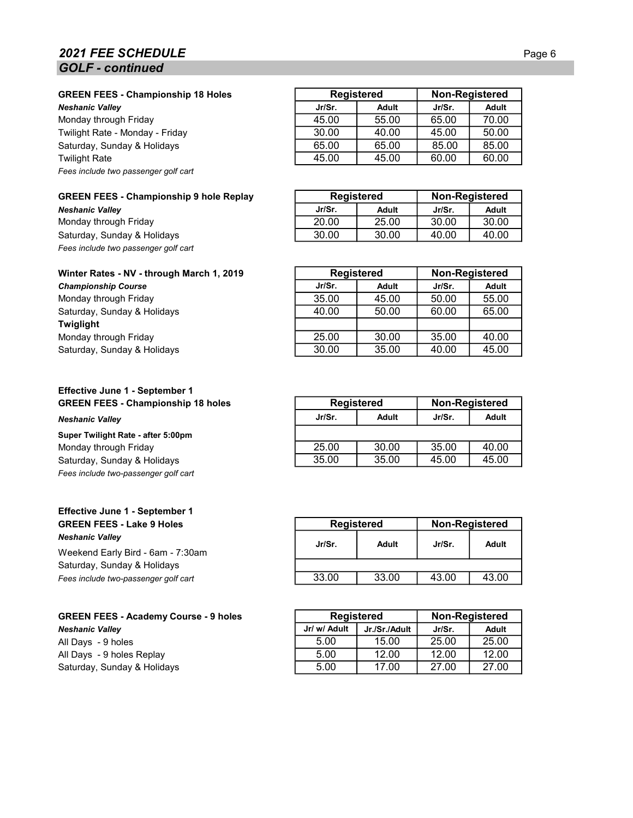## **2021 FEE SCHEDULE** Page 6 GOLF - continued

Monday through Friday Twilight Rate - Monday - Friday Saturday, Sunday & Holidays Fees include two passenger golf cart

### GREEN FEES - Championship 9 hole Replay

**Neshanic Valley** Monday through Friday Saturday, Sunday & Holidays Fees include two passenger golf cart

### Winter Rates - NV - through March 1, 2019

**Championship Course** Monday through Friday Saturday, Sunday & Holidays Twiglight Monday through Friday Saturday, Sunday & Holidays.

## Effective June 1 - September 1 GREEN FEES - Championship 18 holes

**Neshanic Valley** 

## Super Twilight Rate - after 5:00pm

Monday through Friday Saturday, Sunday & Holidays. Fees include two-passenger golf cart

### Effective June 1 - September 1 GREEN FEES - Lake 9 Holes Neshanic Valley

Weekend Early Bird - 6am - 7:30am Saturday, Sunday & Holidays Fees include two-passenger golf cart

GREEN FEES - Academy Course - 9 holes Neshanic Valley All Days - 9 holes All Days - 9 holes Replay Saturday, Sunday & Holidays.

| <b>GREEN FEES - Championship 18 Holes</b> |        | <b>Registered</b> |        | <b>Non-Registered</b> |
|-------------------------------------------|--------|-------------------|--------|-----------------------|
| Neshanic Vallev                           | Jr/Sr. | Adult             | Jr/Sr. | <b>Adult</b>          |
| Monday through Friday                     | 45.00  | 55.00             | 65.00  | 70.00                 |
| Twilight Rate - Monday - Friday           | 30.00  | 40.00             | 45.00  | 50.00                 |
| Saturday, Sunday & Holidays               | 65.00  | 65.00             | 85.00  | 85.00                 |
| Twilight Rate                             | 45.00  | 45.00             | 60.00  | 60.00                 |

| <b>Registered</b> |       |        | Non-Registered |
|-------------------|-------|--------|----------------|
| Jr/Sr.            | Adult | Jr/Sr. | Adult          |
| 20.00             | 25.00 | 30.00  | 30.00          |
| 30.00             | 30.OO | 4በ በበ  | 4በ በበ          |

| <b>Registered</b> |              |        | <b>Non-Registered</b> |
|-------------------|--------------|--------|-----------------------|
| Jr/Sr.            | <b>Adult</b> | Jr/Sr. | <b>Adult</b>          |
| 35.00             | 45.00        | 50.00  | 55.00                 |
| 40.00             | 50.00        | 60.00  | 65.00                 |
|                   |              |        |                       |
| 25.00             | 30.00        | 35.00  | 40.00                 |
| 30.00             | 35.00        | 40.00  | 45.00                 |

| <b>Registered</b> |       | <b>Non-Registered</b> |       |
|-------------------|-------|-----------------------|-------|
| Jr/Sr.            | Adult | Jr/Sr.                | Adult |
|                   |       |                       |       |
| 25.00             | 30.00 | 35.00                 | 40.00 |
| 35.00             | 35.00 | 45.00                 | 45.00 |

| <b>Registered</b> |        | <b>Non-Registered</b> |
|-------------------|--------|-----------------------|
| Adult             | Jr/Sr. | Adult                 |
|                   |        |                       |
| 33.00             | 43.00  | 43.00                 |
|                   |        |                       |

|              | <b>Registered</b> |        | Non-Registered |
|--------------|-------------------|--------|----------------|
| Jr/ w/ Adult | Jr./Sr./Adult     | Jr/Sr. | Adult          |
| 5.00         | 15.00             | 25.00  | 25.00          |
| 5.00         | 12.00             | 12.00  | 12.00          |
| 5.00         | 17.00             | 27.00  | 27.00          |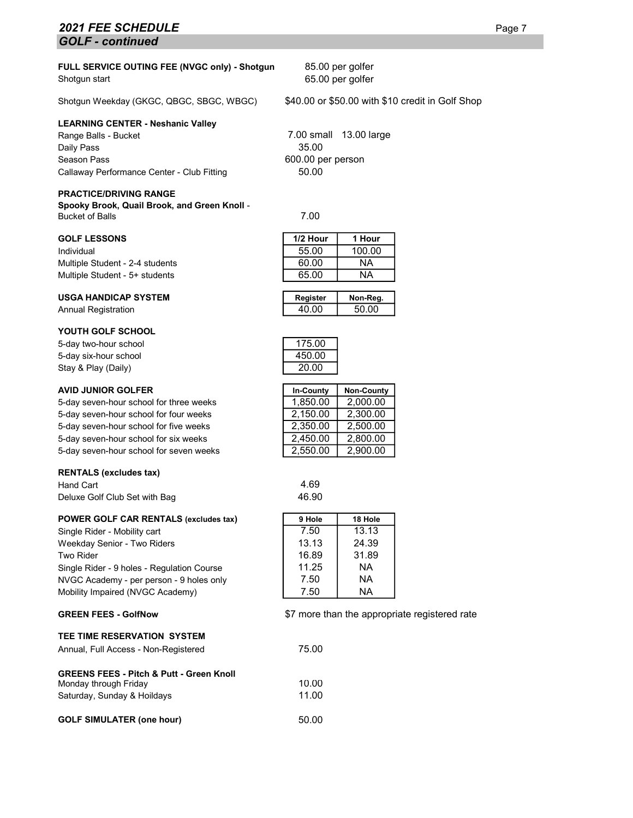## **2021 FEE SCHEDULE** Page 7 GOLF - continued

#### FULL SERVICE OUTING FEE (NVGC only) - Shotgun Shotgun start

Shotgun Weekday (GKGC, QBGC, SBGC, WBGC) \$40.00 or \$50.00 with \$10 credit in Golf Shop

#### LEARNING CENTER - Neshanic Valley

Range Balls - Bucket **7.00 small 13.00 large** Daily Pass 35.00 Season Pass 600.00 per person Callaway Performance Center - Club Fitting 50.00

#### PRACTICE/DRIVING RANGE

Spooky Brook, Quail Brook, and Green Knoll - Bucket of Balls 7.00

#### **GOLF LESSONS**

#### **USGA HANDICAP SYSTEM**

Annual Registration

#### YOUTH GOLF SCHOOL

5-day two-hour school 175.00 5-day six-hour school 450.00 Stay & Play (Daily) 20.00

#### **AVID JUNIOR GOLFER**

5-day seven-hour school for three weeks 5-day seven-hour school for four weeks 5-day seven-hour school for five weeks 5-day seven-hour school for six weeks 5-day seven-hour school for seven weeks

#### RENTALS (excludes tax)

Hand Cart 4.69 Deluxe Golf Club Set with Bag 46.90

#### POWER GOLF CAR RENTALS (excludes tax)

Single Rider - Mobility cart Weekday Senior - Two Riders **Two Rider** Single Rider - 9 holes - Regulation Course NVGC Academy - per person - 9 holes only Mobility Impaired (NVGC Academy)

#### GREEN FEES - GolfNow

#### TEE TIME RESERVATION SYSTEM

|  | Annual, Full Access - Non-Registered | 75.00 |
|--|--------------------------------------|-------|
|  |                                      |       |

## GREENS FEES - Pitch & Putt - Green Knoll

| Monday through Friday            | 10.00 |
|----------------------------------|-------|
| Saturday, Sunday & Hoildays      | 11.00 |
|                                  |       |
| <b>GOLF SIMULATER (one hour)</b> | 50.00 |

| 85.00 per golfer |  |
|------------------|--|
| 65.00 per golfer |  |

| <b>GOLF LESSONS</b>             | 1/2 Hour | 1 Hour |
|---------------------------------|----------|--------|
| Individual                      | 55.00    | 100.00 |
| Multiple Student - 2-4 students | 60.00    | ΝA     |
| Multiple Student - 5+ students  | 65.00    | ΝA     |
|                                 |          |        |

| Register | Non-Reg. |
|----------|----------|
| 40.00    | 50.00    |
|          |          |



| In-County | Non-County |
|-----------|------------|
| 1,850.00  | 2,000.00   |
| 2,150.00  | 2,300.00   |
| 2,350.00  | 2,500.00   |
| 2,450.00  | 2,800.00   |
| 2,550.00  | 2,900.00   |

| 9 Hole | 18 Hole |
|--------|---------|
| 7.50   | 13.13   |
| 13.13  | 24.39   |
| 16.89  | 31.89   |
| 11 25  | ΝA      |
| 7.50   | NА      |
| 7.50   | NA      |

#### \$7 more than the appropriate registered rate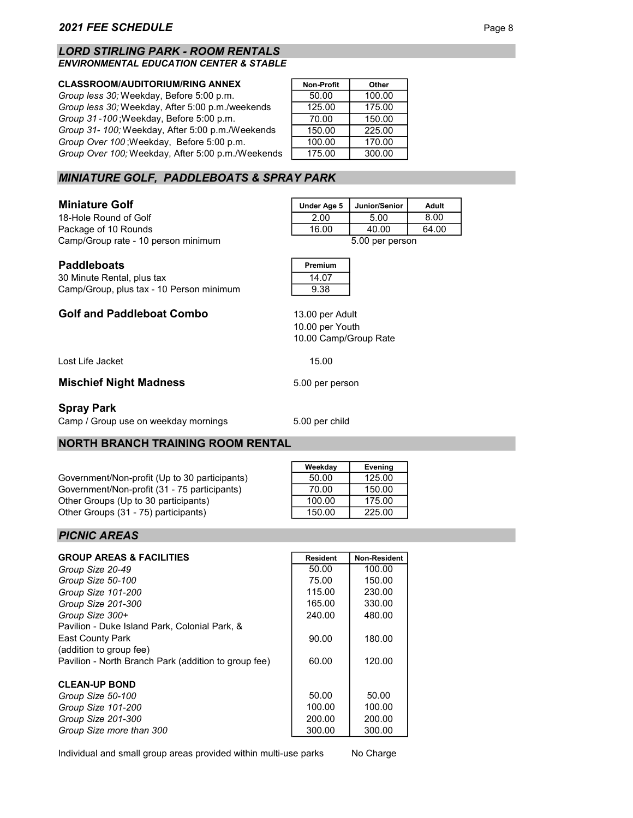#### LORD STIRLING PARK - ROOM RENTALS ENVIRONMENTAL EDUCATION CENTER & STABLE

#### **CLASSROOM/AUDITORIUM/RING ANNEX**

Group less 30; Weekday, Before 5:00 p.m. Group less 30; Weekday, After 5:00 p.m./weekends Group 31-100; Weekday, Before 5:00 p.m. Group 31- 100; Weekday, After 5:00 p.m./Weekends Group Over 100; Weekday, Before 5:00 p.m. Group Over 100; Weekday, After 5:00 p.m./Weekends

| Other  |
|--------|
| 100.00 |
| 175.00 |
| 150.00 |
| 225.00 |
| 170.00 |
| 300.00 |
|        |

# MINIATURE GOLF, PADDLEBOATS & SPRAY PARK

### **Miniature Golf**

18-Hole Round of Golf Package of 10 Rounds Camp/Group rate - 10 person minimum 5.00 per person

| Under Age 5     | Junior/Senior | Adult |
|-----------------|---------------|-------|
| 2.00            | 5.00          | 8.00  |
| 16.00           | 40.00         | 64.00 |
| 5.00 ner nerson |               |       |

| <b>Paddleboats</b>         | Premium |
|----------------------------|---------|
| 30 Minute Rental, plus tax | 14.07   |
|                            |         |

| Camp/Group, plus tax - 10 Person minimum | 9.38 |
|------------------------------------------|------|
|                                          |      |

## Golf and Paddleboat Combo

Lost Life Jacket 15.00

## Mischief Night Madness 5.00 per person

### Spray Park

Camp / Group use on weekday mornings 5.00 per child

## NORTH BRANCH TRAINING ROOM RENTAL

Government/Non-profit (Up to 30 participants) Government/Non-profit (31 - 75 participants) Other Groups (Up to 30 participants) Other Groups (31 - 75) participants)

| Weekday | Evening |
|---------|---------|
| 50.00   | 125.00  |
| 70.00   | 150.00  |
| 100.00  | 175.00  |
| 150.00  | 225.00  |

## PICNIC AREAS

| <b>GROUP AREAS &amp; FACILITIES</b>                  | <b>Resident</b> | <b>Non-Resident</b> |
|------------------------------------------------------|-----------------|---------------------|
| Group Size 20-49                                     | 50.00           | 100.00              |
| Group Size 50-100                                    | 75.00           | 150.00              |
| Group Size 101-200                                   | 115.00          | 230.00              |
| Group Size 201-300                                   | 165.00          | 330.00              |
| Group Size 300+                                      | 240.00          | 480.00              |
| Pavilion - Duke Island Park, Colonial Park, &        |                 |                     |
| <b>East County Park</b>                              | 90.00           | 180.00              |
| (addition to group fee)                              |                 |                     |
| Pavilion - North Branch Park (addition to group fee) | 60.00           | 120.00              |
|                                                      |                 |                     |
| <b>CLEAN-UP BOND</b>                                 |                 |                     |
| Group Size 50-100                                    | 50.00           | 50.00               |
| Group Size 101-200                                   | 100.00          | 100.00              |
| Group Size 201-300                                   | 200.00          | 200.00              |
| Group Size more than 300                             | 300.00          | 300.00              |

Individual and small group areas provided within multi-use parks

No Charge

10.00 per Youth

13.00 per Adult

10.00 Camp/Group Rate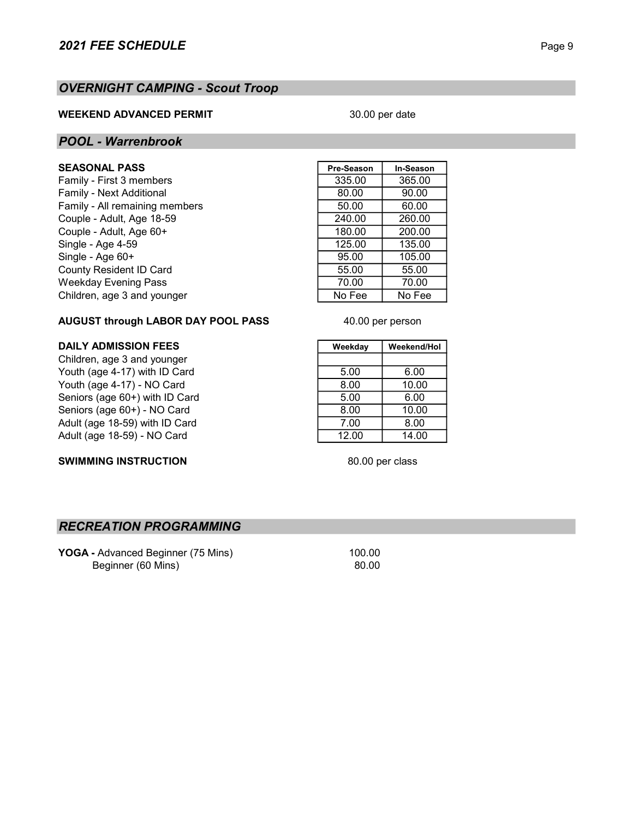# OVERNIGHT CAMPING - Scout Troop

## WEEKEND ADVANCED PERMIT

## 30.00 per date

## POOL - Warrenbrook

## **SEASONAL PASS**

Family - First 3 members Family - Next Additional Family - All remaining members Couple - Adult, Age 18-59 Couple - Adult, Age 60+ Single - Age 4-59 Single - Age 60+ County Resident ID Card Weekday Evening Pass Children, age 3 and younger

| Pre-Season | In-Season |
|------------|-----------|
| 335.00     | 365.00    |
| 80.00      | 90.00     |
| 50.00      | 60.00     |
| 240.00     | 260.00    |
| 180.00     | 200.00    |
| 125.00     | 135.00    |
| 95.00      | 105.00    |
| 55.00      | 55.00     |
| 70.00      | 70.00     |
| No Fee     | No Fee    |
|            |           |

## AUGUST through LABOR DAY POOL PASS

Children, age 3 and younger Youth (age 4-17) with ID Card 5.00 6.00 Youth (age 4-17) - NO Card 8.00 10.00 Seniors (age 60+) with ID Card<br>
Seniors (age 60+) - NO Card 6.00 6.00 6.00 6.00 Seniors (age 60+) - NO Card Adult (age 18-59) with ID Card 7.00 8.00 Adult (age 18-59) - NO Card 12.00 12.00 14.00

## SWIMMING INSTRUCTION

DAILY ADMISSION FEES Weekday | Weekend/Hol

40.00 per person

80.00 per class

## RECREATION PROGRAMMING

YOGA - Advanced Beginner (75 Mins) 100.00 Beginner (60 Mins) 80.00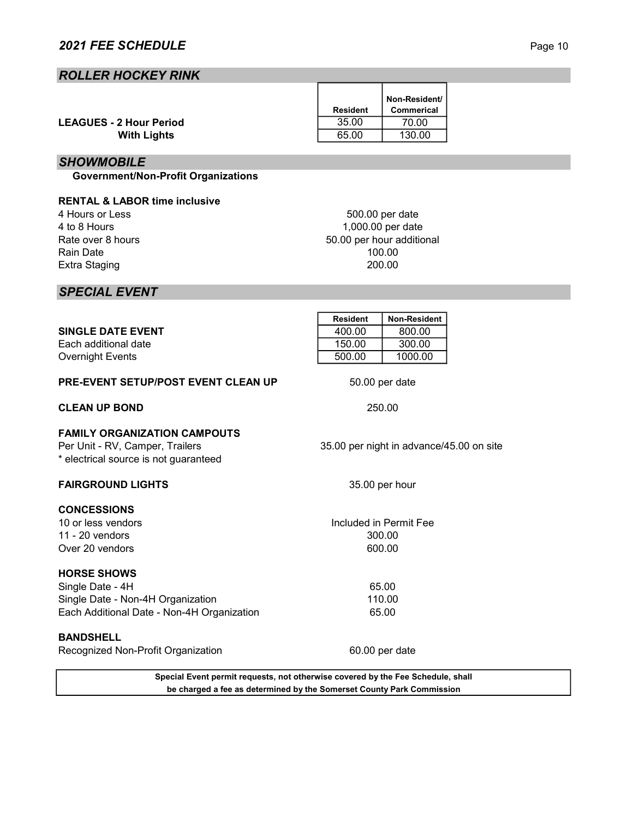## ROLLER HOCKEY RINK

|                                | <b>Resident</b> | Non-Resident/<br>Commerical |
|--------------------------------|-----------------|-----------------------------|
| <b>LEAGUES - 2 Hour Period</b> | 35.00           | 70.00                       |
| <b>With Lights</b>             | 65.00           | 130.00                      |

## **SHOWMOBILE**

Government/Non-Profit Organizations

## RENTAL & LABOR time inclusive

4 Hours or Less 4 to 8 Hours Rate over 8 hours Rain Date Extra Staging

500.00 per date 200.00 1,000.00 per date 50.00 per hour additional 100.00

## SPECIAL EVENT

|                                            | <b>Resident</b> | <b>Non-Resident</b> |  |
|--------------------------------------------|-----------------|---------------------|--|
| <b>SINGLE DATE EVENT</b>                   | 400.00          | 800.00              |  |
| Each additional date                       | 150.00          | 300.00              |  |
| Overnight Events                           | 500.00          | 1000.00             |  |
| <b>PRE-EVENT SETUP/POST EVENT CLEAN UP</b> | 50.00 per date  |                     |  |

## CLEAN UP BOND

## FAMILY ORGANIZATION CAMPOUTS

Per Unit - RV, Camper, Trailers \* electrical source is not guaranteed

## FAIRGROUND LIGHTS

## **CONCESSIONS**

10 or less vendors 11 - 20 vendors Over 20 vendors

## HORSE SHOWS

Single Date - 4H Single Date - Non-4H Organization Each Additional Date - Non-4H Organization

BANDSHELL Recognized Non-Profit Organization

> Special Event permit requests, not otherwise covered by the Fee Schedule, shall be charged a fee as determined by the Somerset County Park Commission

35.00 per night in advance/45.00 on site

35.00 per hour

250.00

600.00 Included in Permit Fee 300.00

> 65.00 110.00 65.00

60.00 per date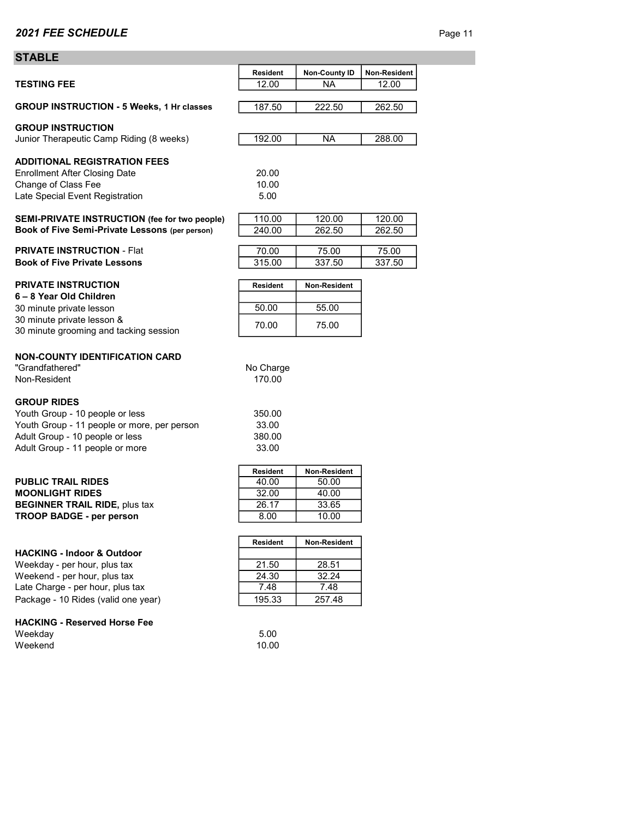## **STABLE**

|                                                                         | <b>Resident</b> | <b>Non-County ID</b> | Non-Resident |
|-------------------------------------------------------------------------|-----------------|----------------------|--------------|
| <b>TESTING FEE</b>                                                      | 12.00           | <b>NA</b>            | 12.00        |
| <b>GROUP INSTRUCTION - 5 Weeks, 1 Hr classes</b>                        | 187.50          | 222.50               | 262.50       |
| <b>GROUP INSTRUCTION</b>                                                |                 |                      |              |
| Junior Therapeutic Camp Riding (8 weeks)                                | 192.00          | NA.                  | 288.00       |
| <b>ADDITIONAL REGISTRATION FEES</b>                                     |                 |                      |              |
| <b>Enrollment After Closing Date</b>                                    | 20.00           |                      |              |
| Change of Class Fee                                                     | 10.00           |                      |              |
| Late Special Event Registration                                         | 5.00            |                      |              |
| SEMI-PRIVATE INSTRUCTION (fee for two people)                           | 110.00          | 120.00               | 120.00       |
| Book of Five Semi-Private Lessons (per person)                          | 240.00          | 262.50               | 262.50       |
| <b>PRIVATE INSTRUCTION - Flat</b>                                       | 70.00           | 75.00                | 75.00        |
| <b>Book of Five Private Lessons</b>                                     | 315.00          | 337.50               | 337.50       |
| <b>PRIVATE INSTRUCTION</b>                                              | <b>Resident</b> | Non-Resident         |              |
| 6-8 Year Old Children                                                   |                 |                      |              |
| 30 minute private lesson                                                | 50.00           | 55.00                |              |
| 30 minute private lesson &                                              | 70.00           | 75.00                |              |
| 30 minute grooming and tacking session                                  |                 |                      |              |
| <b>NON-COUNTY IDENTIFICATION CARD</b>                                   |                 |                      |              |
| "Grandfathered"                                                         | No Charge       |                      |              |
| Non-Resident                                                            | 170.00          |                      |              |
| <b>GROUP RIDES</b>                                                      |                 |                      |              |
| Youth Group - 10 people or less                                         | 350.00          |                      |              |
| Youth Group - 11 people or more, per person                             | 33.00           |                      |              |
| Adult Group - 10 people or less                                         | 380.00          |                      |              |
| Adult Group - 11 people or more                                         | 33.00           |                      |              |
|                                                                         | <b>Resident</b> | Non-Resident         |              |
| <b>PUBLIC TRAIL RIDES</b>                                               | 40.00           | 50.00                |              |
| <b>MOONLIGHT RIDES</b>                                                  | 32.00           | 40.00                |              |
| <b>BEGINNER TRAIL RIDE, plus tax</b><br><b>TROOP BADGE - per person</b> | 26.17<br>8.00   | 33.65<br>10.00       |              |
|                                                                         |                 |                      |              |
|                                                                         | <b>Resident</b> | Non-Resident         |              |
| <b>HACKING - Indoor &amp; Outdoor</b>                                   |                 |                      |              |
| Weekday - per hour, plus tax                                            | 21.50<br>24.30  | 28.51                |              |
| Weekend - per hour, plus tax<br>Late Charge - per hour, plus tax        | 7.48            | 32.24<br>7.48        |              |
| Package - 10 Rides (valid one year)                                     | 195.33          | 257.48               |              |
|                                                                         |                 |                      |              |
| <b>HACKING - Reserved Horse Fee</b>                                     |                 |                      |              |
| Weekday<br>Weekend                                                      | 5.00            |                      |              |
|                                                                         | 10.00           |                      |              |
|                                                                         |                 |                      |              |
|                                                                         |                 |                      |              |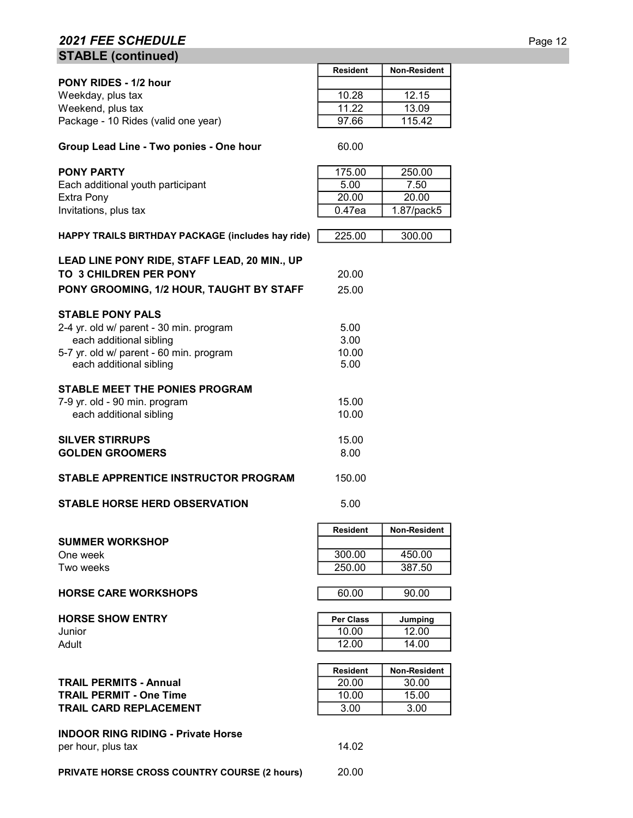# 2021 FEE SCHEDULE Page 12 STABLE (continued)

|                                                                               | <b>Resident</b>  | <b>Non-Resident</b> |
|-------------------------------------------------------------------------------|------------------|---------------------|
| <b>PONY RIDES - 1/2 hour</b>                                                  |                  |                     |
| Weekday, plus tax                                                             | 10.28            | 12.15               |
| Weekend, plus tax                                                             | 11.22            | 13.09               |
| Package - 10 Rides (valid one year)                                           | 97.66            | 115.42              |
| Group Lead Line - Two ponies - One hour                                       | 60.00            |                     |
| <b>PONY PARTY</b>                                                             | 175.00           | 250.00              |
| Each additional youth participant                                             | 5.00             | 7.50                |
| Extra Pony                                                                    | 20.00            | 20.00               |
| Invitations, plus tax                                                         | 0.47ea           | 1.87/pack5          |
| HAPPY TRAILS BIRTHDAY PACKAGE (includes hay ride)                             | 225.00           | 300.00              |
| LEAD LINE PONY RIDE, STAFF LEAD, 20 MIN., UP<br><b>TO 3 CHILDREN PER PONY</b> | 20.00            |                     |
|                                                                               |                  |                     |
| PONY GROOMING, 1/2 HOUR, TAUGHT BY STAFF                                      | 25.00            |                     |
| <b>STABLE PONY PALS</b>                                                       |                  |                     |
| 2-4 yr. old w/ parent - 30 min. program                                       | 5.00             |                     |
| each additional sibling                                                       | 3.00             |                     |
| 5-7 yr. old w/ parent - 60 min. program                                       | 10.00            |                     |
| each additional sibling                                                       | 5.00             |                     |
|                                                                               |                  |                     |
| <b>STABLE MEET THE PONIES PROGRAM</b>                                         | 15.00            |                     |
| 7-9 yr. old - 90 min. program<br>each additional sibling                      | 10.00            |                     |
|                                                                               |                  |                     |
| <b>SILVER STIRRUPS</b>                                                        | 15.00            |                     |
| <b>GOLDEN GROOMERS</b>                                                        | 8.00             |                     |
|                                                                               |                  |                     |
| STABLE APPRENTICE INSTRUCTOR PROGRAM                                          | 150.00           |                     |
| <b>STABLE HORSE HERD OBSERVATION</b>                                          | 5.00             |                     |
|                                                                               | <b>Resident</b>  | <b>Non-Resident</b> |
| <b>SUMMER WORKSHOP</b>                                                        |                  |                     |
| One week                                                                      | 300.00           | 450.00              |
| Two weeks                                                                     | 250.00           | 387.50              |
| <b>HORSE CARE WORKSHOPS</b>                                                   | 60.00            | 90.00               |
|                                                                               |                  |                     |
| <b>HORSE SHOW ENTRY</b>                                                       | <b>Per Class</b> | Jumping             |
| Junior                                                                        | 10.00            | 12.00               |
| Adult                                                                         | 12.00            | 14.00               |
|                                                                               |                  |                     |
|                                                                               | <b>Resident</b>  | Non-Resident        |
| <b>TRAIL PERMITS - Annual</b>                                                 | 20.00            | 30.00               |
| <b>TRAIL PERMIT - One Time</b>                                                | 10.00            | 15.00               |
| <b>TRAIL CARD REPLACEMENT</b>                                                 | 3.00             | 3.00                |
| <b>INDOOR RING RIDING - Private Horse</b>                                     |                  |                     |
| per hour, plus tax                                                            | 14.02            |                     |
|                                                                               |                  |                     |
| <b>PRIVATE HORSE CROSS COUNTRY COURSE (2 hours)</b>                           | 20.00            |                     |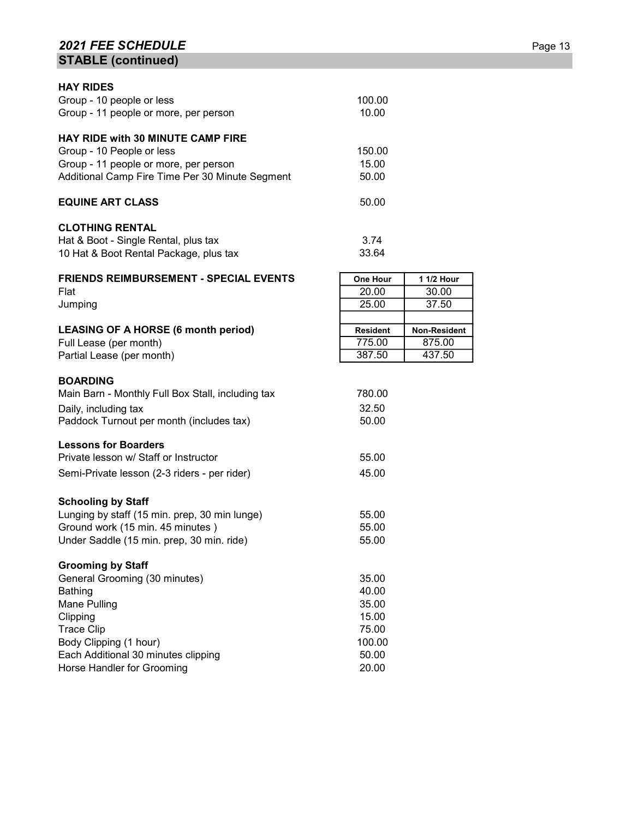# **2021 FEE SCHEDULE** Page 13 STABLE (continued)

| <b>HAY RIDES</b>                                  |                 |              |
|---------------------------------------------------|-----------------|--------------|
| Group - 10 people or less                         | 100.00          |              |
| Group - 11 people or more, per person             | 10.00           |              |
| <b>HAY RIDE with 30 MINUTE CAMP FIRE</b>          |                 |              |
| Group - 10 People or less                         | 150.00          |              |
| Group - 11 people or more, per person             | 15.00           |              |
| Additional Camp Fire Time Per 30 Minute Segment   | 50.00           |              |
| <b>EQUINE ART CLASS</b>                           | 50.00           |              |
| <b>CLOTHING RENTAL</b>                            |                 |              |
| Hat & Boot - Single Rental, plus tax              | 3.74            |              |
| 10 Hat & Boot Rental Package, plus tax            | 33.64           |              |
| <b>FRIENDS REIMBURSEMENT - SPECIAL EVENTS</b>     | <b>One Hour</b> | 1 1/2 Hour   |
| Flat                                              | 20.00           | 30.00        |
| Jumping                                           | 25.00           | 37.50        |
|                                                   |                 |              |
| <b>LEASING OF A HORSE (6 month period)</b>        | <b>Resident</b> | Non-Resident |
| Full Lease (per month)                            | 775.00          | 875.00       |
| Partial Lease (per month)                         | 387.50          | 437.50       |
| <b>BOARDING</b>                                   |                 |              |
| Main Barn - Monthly Full Box Stall, including tax | 780.00          |              |
| Daily, including tax                              | 32.50           |              |
| Paddock Turnout per month (includes tax)          | 50.00           |              |
| <b>Lessons for Boarders</b>                       |                 |              |
| Private lesson w/ Staff or Instructor             | 55.00           |              |
| Semi-Private lesson (2-3 riders - per rider)      | 45.00           |              |
| <b>Schooling by Staff</b>                         |                 |              |
| Lunging by staff (15 min. prep, 30 min lunge)     | 55.00           |              |
| Ground work (15 min. 45 minutes)                  | 55.00           |              |
| Under Saddle (15 min. prep, 30 min. ride)         | 55.00           |              |
| <b>Grooming by Staff</b>                          |                 |              |
| General Grooming (30 minutes)                     | 35.00           |              |
| Bathing                                           | 40.00           |              |
| Mane Pulling                                      | 35.00           |              |
| Clipping                                          | 15.00           |              |
| <b>Trace Clip</b>                                 | 75.00           |              |
| Body Clipping (1 hour)                            | 100.00          |              |
| Each Additional 30 minutes clipping               | 50.00           |              |
| Horse Handler for Grooming                        | 20.00           |              |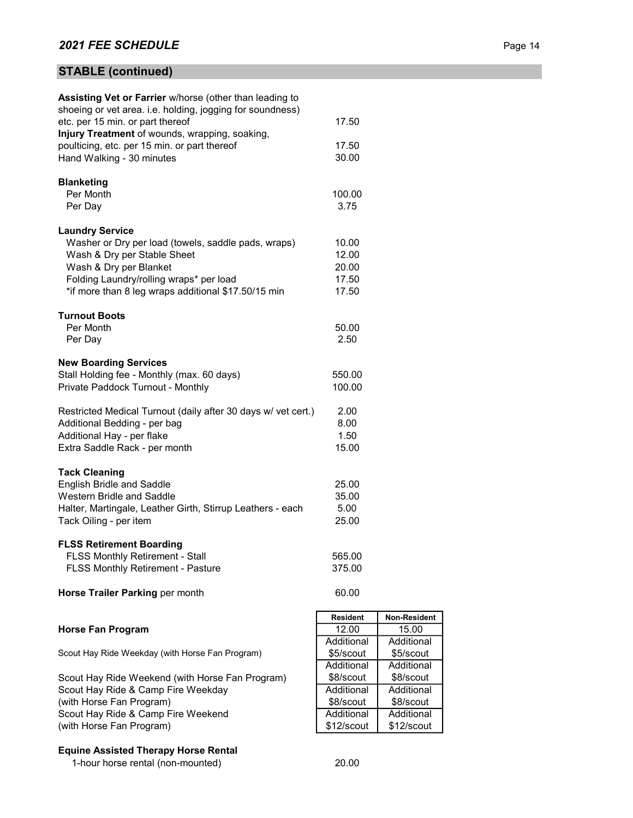# STABLE (continued)

| Assisting Vet or Farrier w/horse (other than leading to                               |                         |                         |
|---------------------------------------------------------------------------------------|-------------------------|-------------------------|
| shoeing or vet area. i.e. holding, jogging for soundness)                             |                         |                         |
| etc. per 15 min. or part thereof                                                      | 17.50                   |                         |
| Injury Treatment of wounds, wrapping, soaking,                                        |                         |                         |
| poulticing, etc. per 15 min. or part thereof                                          | 17.50                   |                         |
| Hand Walking - 30 minutes                                                             | 30.00                   |                         |
| <b>Blanketing</b>                                                                     |                         |                         |
| Per Month                                                                             | 100.00                  |                         |
| Per Day                                                                               | 3.75                    |                         |
|                                                                                       |                         |                         |
| <b>Laundry Service</b>                                                                |                         |                         |
| Washer or Dry per load (towels, saddle pads, wraps)                                   | 10.00                   |                         |
| Wash & Dry per Stable Sheet                                                           | 12.00                   |                         |
| Wash & Dry per Blanket                                                                | 20.00                   |                         |
| Folding Laundry/rolling wraps* per load                                               | 17.50                   |                         |
| *if more than 8 leg wraps additional \$17.50/15 min                                   | 17.50                   |                         |
|                                                                                       |                         |                         |
| <b>Turnout Boots</b>                                                                  |                         |                         |
| Per Month                                                                             | 50.00                   |                         |
| Per Day                                                                               | 2.50                    |                         |
|                                                                                       |                         |                         |
| <b>New Boarding Services</b>                                                          |                         |                         |
| Stall Holding fee - Monthly (max. 60 days)                                            | 550.00                  |                         |
| Private Paddock Turnout - Monthly                                                     | 100.00                  |                         |
|                                                                                       |                         |                         |
| Restricted Medical Turnout (daily after 30 days w/ vet cert.)                         | 2.00                    |                         |
| Additional Bedding - per bag                                                          | 8.00                    |                         |
| Additional Hay - per flake                                                            | 1.50                    |                         |
| Extra Saddle Rack - per month                                                         | 15.00                   |                         |
| <b>Tack Cleaning</b>                                                                  |                         |                         |
| English Bridle and Saddle                                                             | 25.00                   |                         |
| Western Bridle and Saddle                                                             | 35.00                   |                         |
| Halter, Martingale, Leather Girth, Stirrup Leathers - each                            | 5.00                    |                         |
| Tack Oiling - per item                                                                | 25.00                   |                         |
|                                                                                       |                         |                         |
| <b>FLSS Retirement Boarding</b>                                                       |                         |                         |
| FLSS Monthly Retirement - Stall                                                       | 565.00                  |                         |
| FLSS Monthly Retirement - Pasture                                                     | 375.00                  |                         |
|                                                                                       |                         |                         |
| Horse Trailer Parking per month                                                       | 60.00                   |                         |
|                                                                                       |                         |                         |
|                                                                                       | <b>Resident</b>         | Non-Resident            |
| <b>Horse Fan Program</b>                                                              | 12.00                   | 15.00                   |
|                                                                                       | Additional              | Additional              |
| Scout Hay Ride Weekday (with Horse Fan Program)                                       | \$5/scout<br>Additional | \$5/scout               |
|                                                                                       |                         | Additional              |
| Scout Hay Ride Weekend (with Horse Fan Program)<br>Scout Hay Ride & Camp Fire Weekday | \$8/scout<br>Additional | \$8/scout<br>Additional |
| (with Horse Fan Program)                                                              | \$8/scout               | \$8/scout               |
| Scout Hay Ride & Camp Fire Weekend                                                    | Additional              | Additional              |
| (with Horse Fan Program)                                                              | \$12/scout              | \$12/scout              |
|                                                                                       |                         |                         |
|                                                                                       |                         |                         |

# Equine Assisted Therapy Horse Rental

end<br>1-hour horse rental (non-mounted) 20.00